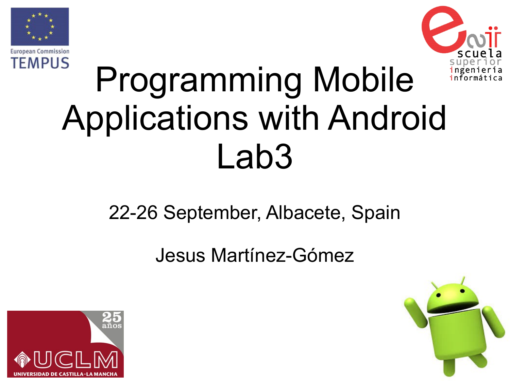

**European Commission TEMPUS** 



# Programming Mobile Applications with Android Lab3

### 22-26 September, Albacete, Spain

Jesus Martínez-Gómez



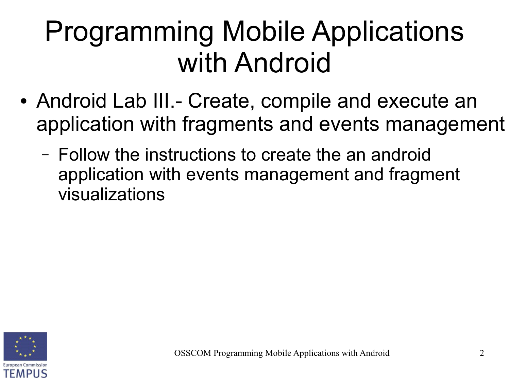- Android Lab III.- Create, compile and execute an application with fragments and events management
	- Follow the instructions to create the an android application with events management and fragment visualizations

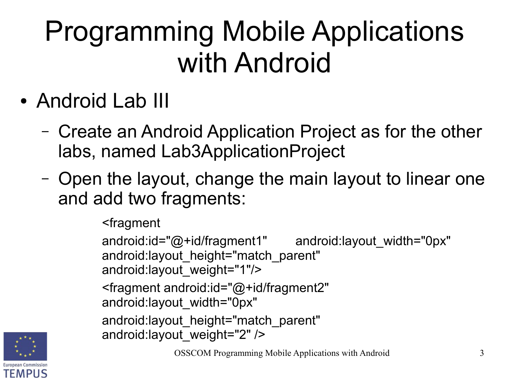- Android Lab III
	- Create an Android Application Project as for the other labs, named Lab3ApplicationProject
	- Open the layout, change the main layout to linear one and add two fragments:

<fragment

android:id="@+id/fragment1" android:layout width="0px" android: layout height="match parent" android:layout\_weight="1"/> <fragment android:id="@+id/fragment2" android:layout\_width="0px" android: layout height="match parent" android:layout\_weight="2" />

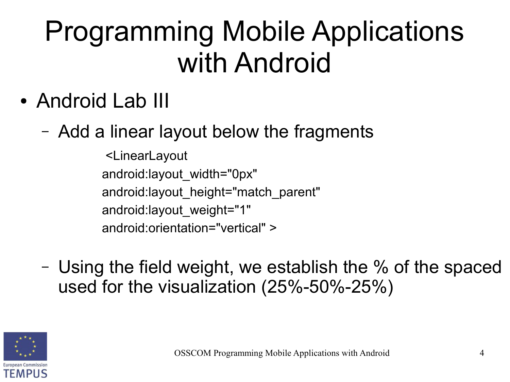- Android Lab III
	- Add a linear layout below the fragments

<LinearLayout android:layout\_width="0px" android:layout\_height="match\_parent" android:layout\_weight="1" android:orientation="vertical" >

– Using the field weight, we establish the % of the spaced used for the visualization (25%-50%-25%)

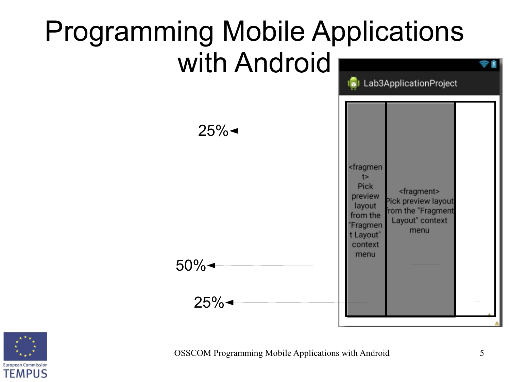

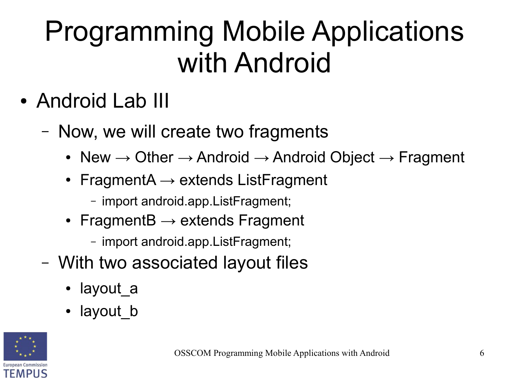- Android Lab III
	- Now, we will create two fragments
		- New  $\rightarrow$  Other  $\rightarrow$  Android  $\rightarrow$  Android Object  $\rightarrow$  Fragment
		- FragmentA  $\rightarrow$  extends ListFragment
			- import android.app.ListFragment;
		- FragmentB  $\rightarrow$  extends Fragment
			- import android.app.ListFragment;
	- With two associated layout files
		- layout a
		- layout b

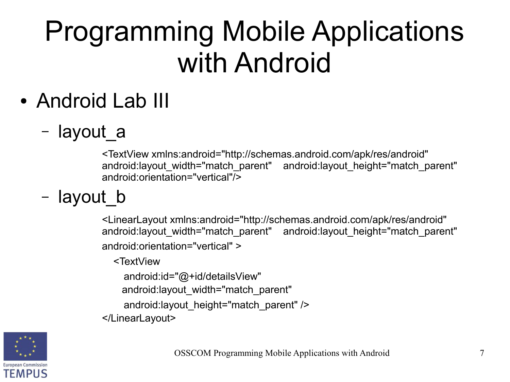- Android Lab III
	- layout\_a

<TextView xmlns:android="http://schemas.android.com/apk/res/android" android: layout width="match\_parent" android: layout height="match\_parent" android:orientation="vertical"/>

– layout\_b

<LinearLayout xmlns:android="http://schemas.android.com/apk/res/android" android: layout width="match\_parent" android: layout height="match\_parent" android:orientation="vertical" >

<TextView

android:id="@+id/detailsView"

android: layout width="match parent"

```
android: layout height="match_parent" />
```
</LinearLayout>

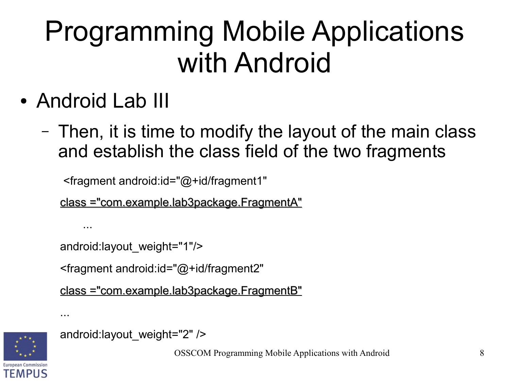- Android Lab III
	- Then, it is time to modify the layout of the main class and establish the class field of the two fragments

<fragment android:id="@+id/fragment1"

class ="com.example.lab3package.FragmentA"

```
 android:layout_weight="1"/>
```
<fragment android:id="@+id/fragment2"

```
class ="com.example.lab3package.FragmentB"
```


...

...

```
 android:layout_weight="2" />
```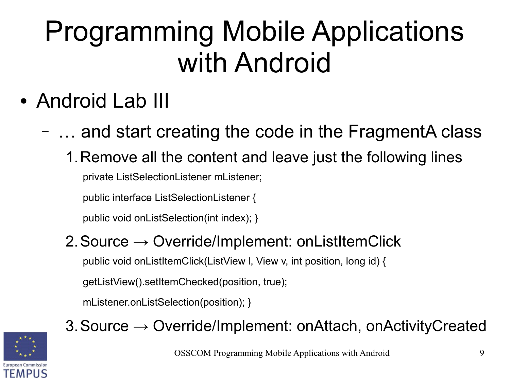- Android Lab III
	- … and start creating the code in the FragmentA class
		- 1.Remove all the content and leave just the following lines private ListSelectionListener mListener;

public interface ListSelectionListener {

public void onListSelection(int index); }

#### 2. Source  $\rightarrow$  Override/Implement: onListItemClick

public void onListItemClick(ListView l, View v, int position, long id) {

getListView().setItemChecked(position, true);

mListener.onListSelection(position); }



#### 3.Source → Override/Implement: onAttach, onActivityCreated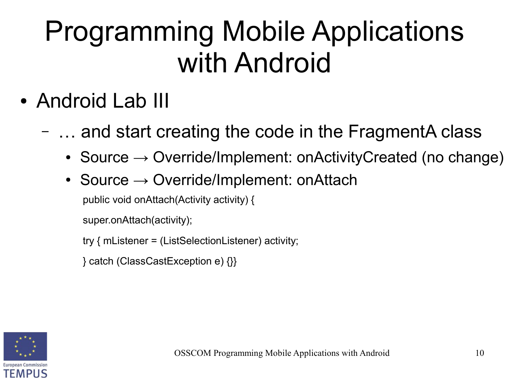- Android Lab III
	- … and start creating the code in the FragmentA class
		- Source  $\rightarrow$  Override/Implement: onActivityCreated (no change)
		- Source  $\rightarrow$  Override/Implement: onAttach

public void onAttach(Activity activity) {

super.onAttach(activity);

try { mListener = (ListSelectionListener) activity;

} catch (ClassCastException e) {}}

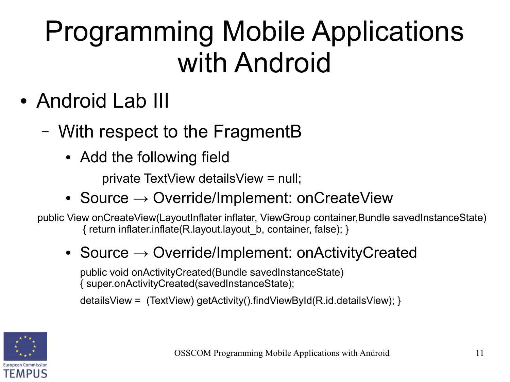- Android Lab III
	- With respect to the FragmentB
		- Add the following field

private TextView detailsView = null;

• Source  $\rightarrow$  Override/Implement: onCreateView

public View onCreateView(LayoutInflater inflater, ViewGroup container,Bundle savedInstanceState) { return inflater.inflate(R.layout.layout\_b, container, false); }

#### • Source  $\rightarrow$  Override/Implement: onActivityCreated

public void onActivityCreated(Bundle savedInstanceState) { super.onActivityCreated(savedInstanceState);

detailsView = (TextView) getActivity().findViewById(R.id.detailsView); }

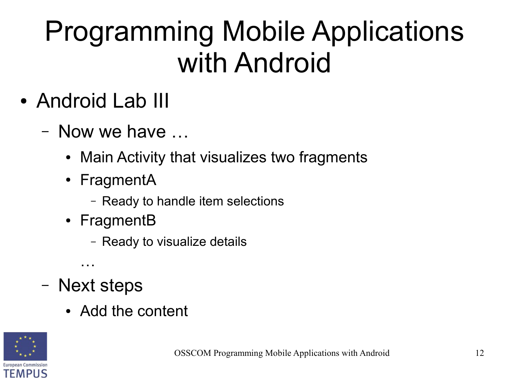- Android Lab III
	- Now we have …
		- Main Activity that visualizes two fragments
		- FragmentA
			- Ready to handle item selections
		- FragmentB
			- Ready to visualize details
	- Next steps

…

• Add the content

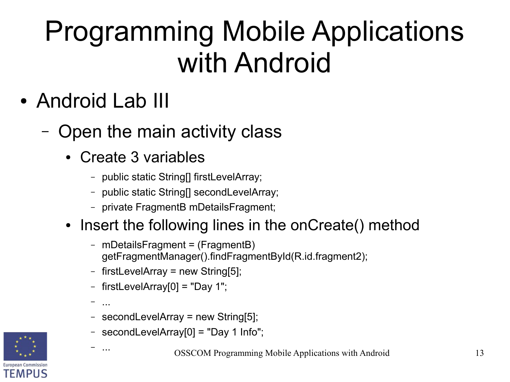- Android Lab III
	- Open the main activity class
		- Create 3 variables
			- public static String[] firstLevelArray;
			- public static String[] secondLevelArray;
			- private FragmentB mDetailsFragment;

#### • Insert the following lines in the onCreate() method

- mDetailsFragment = (FragmentB) getFragmentManager().findFragmentById(R.id.fragment2);
- firstLevelArray = new String[5];
- firstLevelArray $[0]$  = "Day 1";
- ...

– ...

- secondLevelArray = new String[5];
- secondLevelArray[0] = "Day 1 Info";

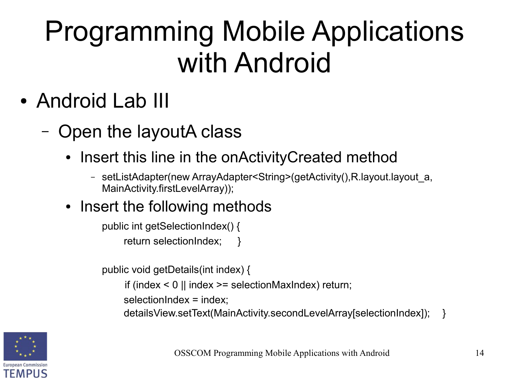- Android Lab III
	- Open the layoutA class
		- Insert this line in the onActivityCreated method
			- setListAdapter(new ArrayAdapter<String>(getActivity(),R.layout.layout\_a, MainActivity.firstLevelArray));
		- Insert the following methods

```
public int getSelectionIndex() {
     return selectionIndex;
```
public void getDetails(int index) {

if (index  $\leq$  0 || index  $\geq$  = selectionMaxIndex) return;

selectionIndex = index:

detailsView.setText(MainActivity.secondLevelArray[selectionIndex]); }

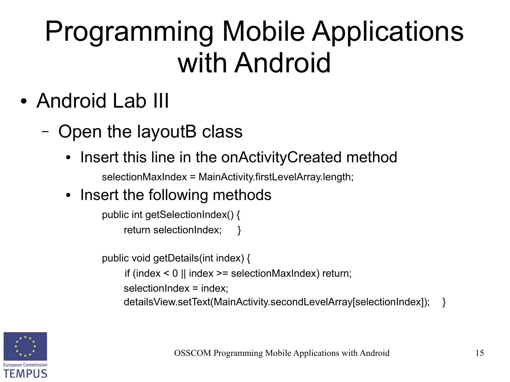- Android Lab III
	- Open the layoutB class
		- Insert this line in the onActivityCreated method

selectionMaxIndex = MainActivity.firstLevelArray.length;

• Insert the following methods

public int getSelectionIndex() { return selectionIndex;

public void getDetails(int index) {

if (index  $\leq$  0 || index  $\geq$  = selectionMaxIndex) return;

selectionIndex = index;

detailsView.setText(MainActivity.secondLevelArray[selectionIndex]); }

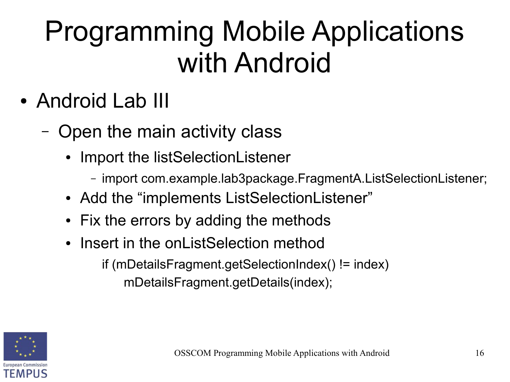- Android Lab III
	- Open the main activity class
		- Import the listSelectionListener
			- import com.example.lab3package.FragmentA.ListSelectionListener;
		- Add the "implements ListSelectionListener"
		- Fix the errors by adding the methods
		- Insert in the onListSelection method if (mDetailsFragment.getSelectionIndex() != index) mDetailsFragment.getDetails(index);

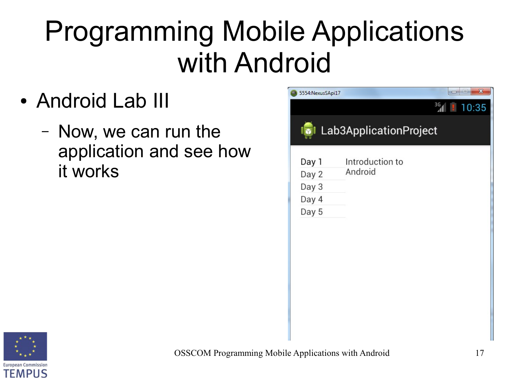- Android Lab III
	- Now, we can run the application and see how it works



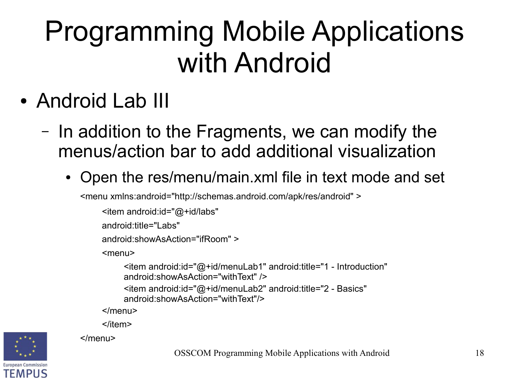• Android Lab III

</menu>

- In addition to the Fragments, we can modify the menus/action bar to add additional visualization
	- Open the res/menu/main.xml file in text mode and set

<menu xmlns:android="http://schemas.android.com/apk/res/android" >

```
<item android:id="@+id/labs" 
android:title="Labs"
android:showAsAction="ifRoom" >
<menu>
     <item android:id="@+id/menuLab1" android:title="1 - Introduction" 
     android:showAsAction="withText" />
     <item android:id="@+id/menuLab2" android:title="2 - Basics" 
     android:showAsAction="withText"/>
</menu>
</item>
```
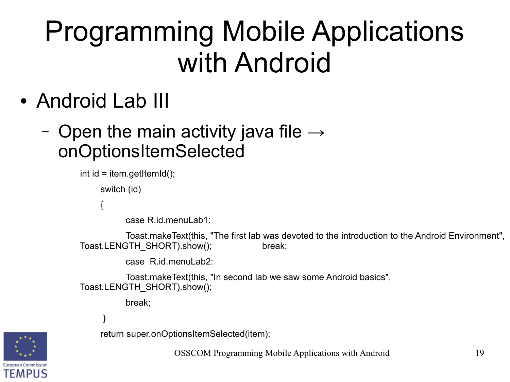• Android Lab III

#### - Open the main activity java file  $\rightarrow$ onOptionsItemSelected

```
int id = item.getItemId();
```
switch (id)

{

case R.id.menuLab1:

Toast.makeText(this, "The first lab was devoted to the introduction to the Android Environment", Toast.LENGTH\_SHORT).show(); break;

case R.id.menul ab2:

Toast.makeText(this, "In second lab we saw some Android basics", Toast.LENGTH\_SHORT).show();

break;

}



return super.onOptionsItemSelected(item);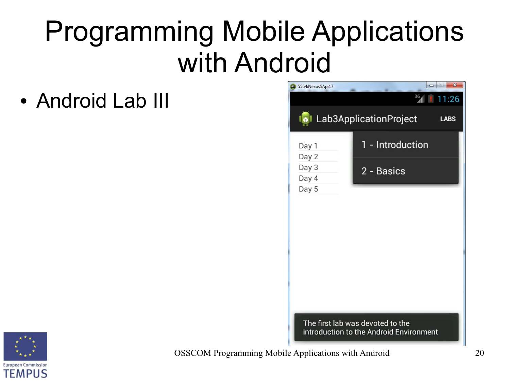• Android Lab III